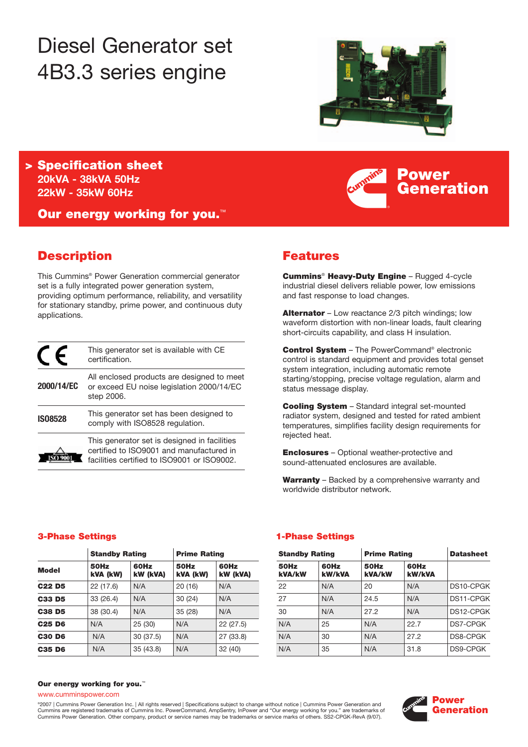# Diesel Generator set 4B3.3 series engine



**Power**

**Generation**

**> Specification sheet 20kVA - 38kVA 50Hz 22kW - 35kW 60Hz** 

**Our energy working for you.**™

### **Description**

This Cummins® Power Generation commercial generator set is a fully integrated power generation system, providing optimum performance, reliability, and versatility for stationary standby, prime power, and continuous duty applications.

|                | This generator set is available with CE<br>certification.                                                                               |
|----------------|-----------------------------------------------------------------------------------------------------------------------------------------|
| 2000/14/EC     | All enclosed products are designed to meet<br>or exceed EU noise legislation 2000/14/EC<br>step 2006.                                   |
| <b>ISO8528</b> | This generator set has been designed to<br>comply with ISO8528 regulation.                                                              |
|                | This generator set is designed in facilities<br>certified to ISO9001 and manufactured in<br>facilities certified to ISO9001 or ISO9002. |

### **Features**

**Cummins**® **Heavy-Duty Engine** – Rugged 4-cycle industrial diesel delivers reliable power, low emissions and fast response to load changes.

**Alternator** – Low reactance 2/3 pitch windings; low waveform distortion with non-linear loads, fault clearing short-circuits capability, and class H insulation.

**Control System** – The PowerCommand® electronic control is standard equipment and provides total genset system integration, including automatic remote starting/stopping, precise voltage regulation, alarm and status message display.

**Cooling System** – Standard integral set-mounted radiator system, designed and tested for rated ambient temperatures, simplifies facility design requirements for rejected heat.

**Enclosures** – Optional weather-protective and sound-attenuated enclosures are available.

**Warranty** – Backed by a comprehensive warranty and worldwide distributor network.

### **3-Phase Settings 1-Phase Settings**

|                                | <b>Standby Rating</b> |                  | <b>Prime Rating</b>     |                  |  |
|--------------------------------|-----------------------|------------------|-------------------------|------------------|--|
| <b>Model</b>                   | 50Hz<br>kVA (kW)      | 60Hz<br>kW (kVA) | <b>50Hz</b><br>kVA (kW) | 60Hz<br>kW (kVA) |  |
| C <sub>22</sub> D <sub>5</sub> | 22 (17.6)             | N/A              | 20(16)                  | N/A              |  |
| C33 D5                         | 33 (26.4)             | N/A              | 30(24)                  | N/A              |  |
| <b>C38 D5</b>                  | 38 (30.4)             | N/A              | 35 (28)                 | N/A              |  |
| C <sub>25</sub> D <sub>6</sub> | N/A                   | 25 (30)          | N/A                     | 22(27.5)         |  |
| <b>C30 D6</b>                  | N/A                   | 30 (37.5)        | N/A                     | 27 (33.8)        |  |
| C35 D6                         | N/A                   | 35(43.8)         | N/A                     | 32(40)           |  |

| <b>Standby Rating</b> |                  | <b>Prime Rating</b> |                  |                | <b>Standby Rating</b> |                | <b>Prime Rating</b>   |           |
|-----------------------|------------------|---------------------|------------------|----------------|-----------------------|----------------|-----------------------|-----------|
| 50Hz<br>kVA (kW)      | 60Hz<br>kW (kVA) | 50Hz<br>kVA (kW)    | 60Hz<br>kW (kVA) | 50Hz<br>kVA/kW | 60Hz<br><b>kW/kVA</b> | 50Hz<br>kVA/kW | 60Hz<br><b>kW/kVA</b> |           |
| 22 (17.6)             | N/A              | 20(16)              | N/A              | 22             | N/A                   | 20             | N/A                   | DS10-CPGK |
| 33 (26.4)             | N/A              | 30(24)              | N/A              | 27             | N/A                   | 24.5           | N/A                   | DS11-CPGK |
| 38 (30.4)             | N/A              | 35(28)              | N/A              | 30             | N/A                   | 27.2           | N/A                   | DS12-CPGK |
| N/A                   | 25(30)           | N/A                 | 22(27.5)         | N/A            | 25                    | N/A            | 22.7                  | DS7-CPGK  |
| N/A                   | 30(37.5)         | N/A                 | 27 (33.8)        | N/A            | 30                    | N/A            | 27.2                  | DS8-CPGK  |
| N/A                   | 35(43.8)         | N/A                 | 32(40)           | N/A            | 35                    | N/A            | 31.8                  | DS9-CPGK  |

### **Our energy working for you.**™

www.cumminspower.com

°2007 | Cummins Power Generation Inc. | All rights reserved | Specifications subject to change without notice | Cummins Power Generation and<br>Cummins are registered trademarks of Cummins Inc. PowerCommand, AmpSentry, InPow Cummins Power Generation. Other company, product or service names may be trademarks or service marks of others. SS2-CPGK-RevA (9/07).

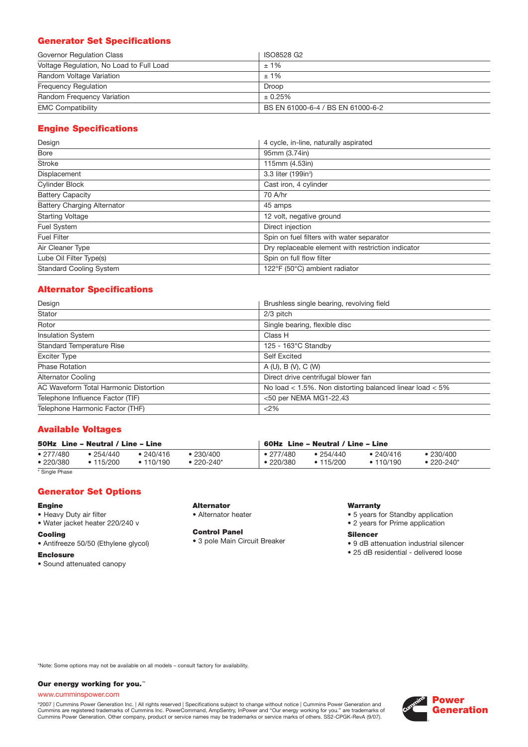### **Generator Set Specifications**

| Governor Regulation Class                | ISO8528 G2                        |
|------------------------------------------|-----------------------------------|
| Voltage Regulation, No Load to Full Load | $±1\%$                            |
| Random Voltage Variation                 | $±1\%$                            |
| <b>Frequency Requiation</b>              | Droop                             |
| Random Frequency Variation               | ± 0.25%                           |
| <b>EMC Compatibility</b>                 | BS EN 61000-6-4 / BS EN 61000-6-2 |

### **Engine Specifications**

| Design                             | 4 cycle, in-line, naturally aspirated              |
|------------------------------------|----------------------------------------------------|
| Bore                               | 95mm (3.74in)                                      |
| <b>Stroke</b>                      | 115mm (4.53in)                                     |
| Displacement                       | 3.3 liter (199in <sup>3</sup> )                    |
| Cylinder Block                     | Cast iron, 4 cylinder                              |
| <b>Battery Capacity</b>            | 70 A/hr                                            |
| <b>Battery Charging Alternator</b> | 45 amps                                            |
| <b>Starting Voltage</b>            | 12 volt, negative ground                           |
| Fuel System                        | Direct injection                                   |
| <b>Fuel Filter</b>                 | Spin on fuel filters with water separator          |
| Air Cleaner Type                   | Dry replaceable element with restriction indicator |
| Lube Oil Filter Type(s)            | Spin on full flow filter                           |
| <b>Standard Cooling System</b>     | 122°F (50°C) ambient radiator                      |

### **Alternator Specifications**

| Design                                | Brushless single bearing, revolving field                    |
|---------------------------------------|--------------------------------------------------------------|
| Stator                                | $2/3$ pitch                                                  |
| Rotor                                 | Single bearing, flexible disc                                |
| <b>Insulation System</b>              | Class H                                                      |
| <b>Standard Temperature Rise</b>      | 125 - 163°C Standby                                          |
| Exciter Type                          | <b>Self Excited</b>                                          |
| <b>Phase Rotation</b>                 | A(U), B(V), C(W)                                             |
| <b>Alternator Cooling</b>             | Direct drive centrifugal blower fan                          |
| AC Waveform Total Harmonic Distortion | No load $<$ 1.5%. Non distorting balanced linear load $<$ 5% |
| Telephone Influence Factor (TIF)      | <50 per NEMA MG1-22.43                                       |
| Telephone Harmonic Factor (THF)       | <2%                                                          |

### **Available Voltages**

| 50Hz Line - Neutral / Line - Line |                             |                        |                          | 60Hz Line – Neutral / Line – Line |                                |                        |                         |  |
|-----------------------------------|-----------------------------|------------------------|--------------------------|-----------------------------------|--------------------------------|------------------------|-------------------------|--|
| • 277/480<br>•220/380             | •254/440<br>$\cdot$ 115/200 | • 240/416<br>• 110/190 | ● 230/400<br>$•220-240*$ | $\bullet$ 277/480<br>•220/380     | $\bullet$ 254/440<br>• 115/200 | • 240/416<br>• 110/190 | •230/400<br>$•220-240*$ |  |
| .                                 |                             |                        |                          |                                   |                                |                        |                         |  |

\* Single Phase

### **Generator Set Options**

### **Engine**

- Heavy Duty air filter
- Water jacket heater 220/240 v

### **Cooling**

• Antifreeze 50/50 (Ethylene glycol)

### **Enclosure**

• Sound attenuated canopy

### **Alternator**

• Alternator heater

#### **Control Panel**

• 3 pole Main Circuit Breaker

### **Warranty**

- 5 years for Standby application
- 2 years for Prime application

#### **Silencer**

- 9 dB attenuation industrial silencer
- 25 dB residential delivered loose

\*Note: Some options may not be available on all models – consult factory for availability.

### **Our energy working for you.**™

### www.cumminspower.com

°2007 | Cummins Power Generation Inc. | All rights reserved | Specifications subject to change without notice | Cummins Power Generation and<br>Cummins are registered trademarks of Cummins Inc. PowerCommand, AmpSentry, InPow

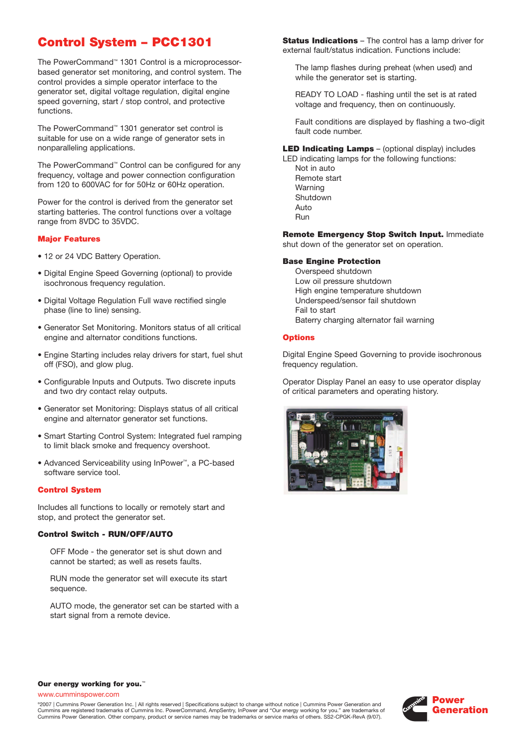## **Control System – PCC1301**

The PowerCommand™ 1301 Control is a microprocessorbased generator set monitoring, and control system. The control provides a simple operator interface to the generator set, digital voltage regulation, digital engine speed governing, start / stop control, and protective functions.

The PowerCommand™ 1301 generator set control is suitable for use on a wide range of generator sets in nonparalleling applications.

The PowerCommand™ Control can be configured for any frequency, voltage and power connection configuration from 120 to 600VAC for for 50Hz or 60Hz operation.

Power for the control is derived from the generator set starting batteries. The control functions over a voltage range from 8VDC to 35VDC.

### **Major Features**

- 12 or 24 VDC Battery Operation.
- Digital Engine Speed Governing (optional) to provide isochronous frequency regulation.
- Digital Voltage Regulation Full wave rectified single phase (line to line) sensing.
- Generator Set Monitoring. Monitors status of all critical engine and alternator conditions functions.
- Engine Starting includes relay drivers for start, fuel shut off (FSO), and glow plug.
- Configurable Inputs and Outputs. Two discrete inputs and two dry contact relay outputs.
- Generator set Monitoring: Displays status of all critical engine and alternator generator set functions.
- Smart Starting Control System: Integrated fuel ramping to limit black smoke and frequency overshoot.
- Advanced Serviceability using InPower™, a PC-based software service tool.

### **Control System**

Includes all functions to locally or remotely start and stop, and protect the generator set.

### **Control Switch - RUN/OFF/AUTO**

OFF Mode - the generator set is shut down and cannot be started; as well as resets faults.

RUN mode the generator set will execute its start sequence.

AUTO mode, the generator set can be started with a start signal from a remote device.

**Status Indications** – The control has a lamp driver for external fault/status indication. Functions include:

The lamp flashes during preheat (when used) and while the generator set is starting.

READY TO LOAD - flashing until the set is at rated voltage and frequency, then on continuously.

Fault conditions are displayed by flashing a two-digit fault code number.

**LED Indicating Lamps** – (optional display) includes

LED indicating lamps for the following functions: Not in auto Remote start Warning Shutdown Auto Run

**Remote Emergency Stop Switch Input.** Immediate shut down of the generator set on operation.

### **Base Engine Protection**

Overspeed shutdown Low oil pressure shutdown High engine temperature shutdown Underspeed/sensor fail shutdown Fail to start Baterry charging alternator fail warning

### **Options**

Digital Engine Speed Governing to provide isochronous frequency regulation.

Operator Display Panel an easy to use operator display of critical parameters and operating history.



### **Our energy working for you.**™

www.cumminspower.com

©2007 | Cummins Power Generation Inc. | All rights reserved | Specifications subject to change without notice | Cummins Power Generation and Cummins are registered trademarks of Cummins Inc. PowerCommand, AmpSentry, InPower and "Our energy working for you." are trademarks of Cummins Power Generation. Other company, product or service names may be trademarks or service marks of others. SS2-CPGK-RevA (9/07).

![](_page_2_Picture_37.jpeg)